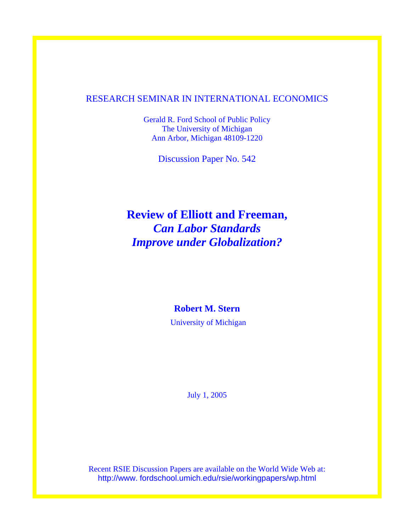## RESEARCH SEMINAR IN INTERNATIONAL ECONOMICS

Gerald R. Ford School of Public Policy The University of Michigan Ann Arbor, Michigan 48109-1220

Discussion Paper No. 542

## **Review of Elliott and Freeman,**  *Can Labor Standards Improve under Globalization?*

## **Robert M. Stern**

University of Michigan

July 1, 2005

Recent RSIE Discussion Papers are available on the World Wide Web at: http://www. fordschool.umich.edu/rsie/workingpapers/wp.html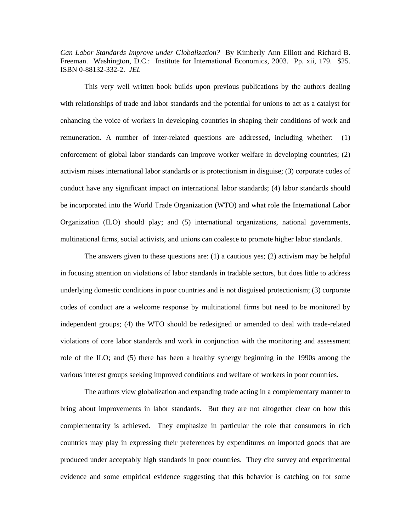*Can Labor Standards Improve under Globalization?* By Kimberly Ann Elliott and Richard B. Freeman. Washington, D.C.: Institute for International Economics, 2003. Pp. xii, 179. \$25. ISBN 0-88132-332-2. *JEL* 

This very well written book builds upon previous publications by the authors dealing with relationships of trade and labor standards and the potential for unions to act as a catalyst for enhancing the voice of workers in developing countries in shaping their conditions of work and remuneration. A number of inter-related questions are addressed, including whether: (1) enforcement of global labor standards can improve worker welfare in developing countries; (2) activism raises international labor standards or is protectionism in disguise; (3) corporate codes of conduct have any significant impact on international labor standards; (4) labor standards should be incorporated into the World Trade Organization (WTO) and what role the International Labor Organization (ILO) should play; and (5) international organizations, national governments, multinational firms, social activists, and unions can coalesce to promote higher labor standards.

The answers given to these questions are: (1) a cautious yes; (2) activism may be helpful in focusing attention on violations of labor standards in tradable sectors, but does little to address underlying domestic conditions in poor countries and is not disguised protectionism; (3) corporate codes of conduct are a welcome response by multinational firms but need to be monitored by independent groups; (4) the WTO should be redesigned or amended to deal with trade-related violations of core labor standards and work in conjunction with the monitoring and assessment role of the ILO; and (5) there has been a healthy synergy beginning in the 1990s among the various interest groups seeking improved conditions and welfare of workers in poor countries.

The authors view globalization and expanding trade acting in a complementary manner to bring about improvements in labor standards. But they are not altogether clear on how this complementarity is achieved. They emphasize in particular the role that consumers in rich countries may play in expressing their preferences by expenditures on imported goods that are produced under acceptably high standards in poor countries. They cite survey and experimental evidence and some empirical evidence suggesting that this behavior is catching on for some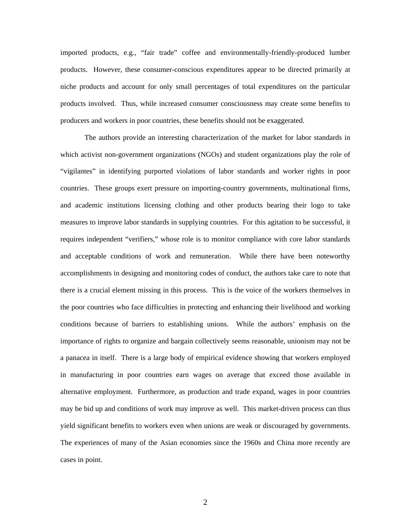imported products, e.g., "fair trade" coffee and environmentally-friendly-produced lumber products. However, these consumer-conscious expenditures appear to be directed primarily at niche products and account for only small percentages of total expenditures on the particular products involved. Thus, while increased consumer consciousness may create some benefits to producers and workers in poor countries, these benefits should not be exaggerated.

The authors provide an interesting characterization of the market for labor standards in which activist non-government organizations (NGOs) and student organizations play the role of "vigilantes" in identifying purported violations of labor standards and worker rights in poor countries. These groups exert pressure on importing-country governments, multinational firms, and academic institutions licensing clothing and other products bearing their logo to take measures to improve labor standards in supplying countries. For this agitation to be successful, it requires independent "verifiers," whose role is to monitor compliance with core labor standards and acceptable conditions of work and remuneration. While there have been noteworthy accomplishments in designing and monitoring codes of conduct, the authors take care to note that there is a crucial element missing in this process. This is the voice of the workers themselves in the poor countries who face difficulties in protecting and enhancing their livelihood and working conditions because of barriers to establishing unions. While the authors' emphasis on the importance of rights to organize and bargain collectively seems reasonable, unionism may not be a panacea in itself. There is a large body of empirical evidence showing that workers employed in manufacturing in poor countries earn wages on average that exceed those available in alternative employment. Furthermore, as production and trade expand, wages in poor countries may be bid up and conditions of work may improve as well. This market-driven process can thus yield significant benefits to workers even when unions are weak or discouraged by governments. The experiences of many of the Asian economies since the 1960s and China more recently are cases in point.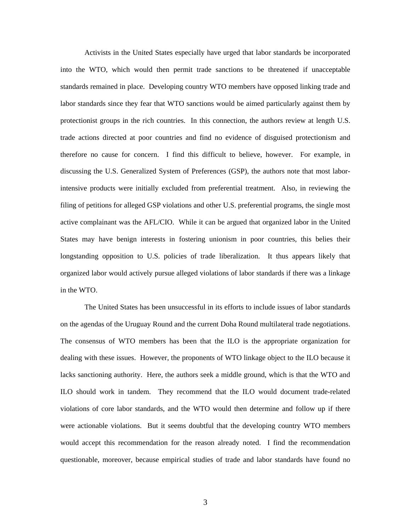Activists in the United States especially have urged that labor standards be incorporated into the WTO, which would then permit trade sanctions to be threatened if unacceptable standards remained in place. Developing country WTO members have opposed linking trade and labor standards since they fear that WTO sanctions would be aimed particularly against them by protectionist groups in the rich countries. In this connection, the authors review at length U.S. trade actions directed at poor countries and find no evidence of disguised protectionism and therefore no cause for concern. I find this difficult to believe, however. For example, in discussing the U.S. Generalized System of Preferences (GSP), the authors note that most laborintensive products were initially excluded from preferential treatment. Also, in reviewing the filing of petitions for alleged GSP violations and other U.S. preferential programs, the single most active complainant was the AFL/CIO. While it can be argued that organized labor in the United States may have benign interests in fostering unionism in poor countries, this belies their longstanding opposition to U.S. policies of trade liberalization. It thus appears likely that organized labor would actively pursue alleged violations of labor standards if there was a linkage in the WTO.

The United States has been unsuccessful in its efforts to include issues of labor standards on the agendas of the Uruguay Round and the current Doha Round multilateral trade negotiations. The consensus of WTO members has been that the ILO is the appropriate organization for dealing with these issues. However, the proponents of WTO linkage object to the ILO because it lacks sanctioning authority. Here, the authors seek a middle ground, which is that the WTO and ILO should work in tandem. They recommend that the ILO would document trade-related violations of core labor standards, and the WTO would then determine and follow up if there were actionable violations. But it seems doubtful that the developing country WTO members would accept this recommendation for the reason already noted. I find the recommendation questionable, moreover, because empirical studies of trade and labor standards have found no